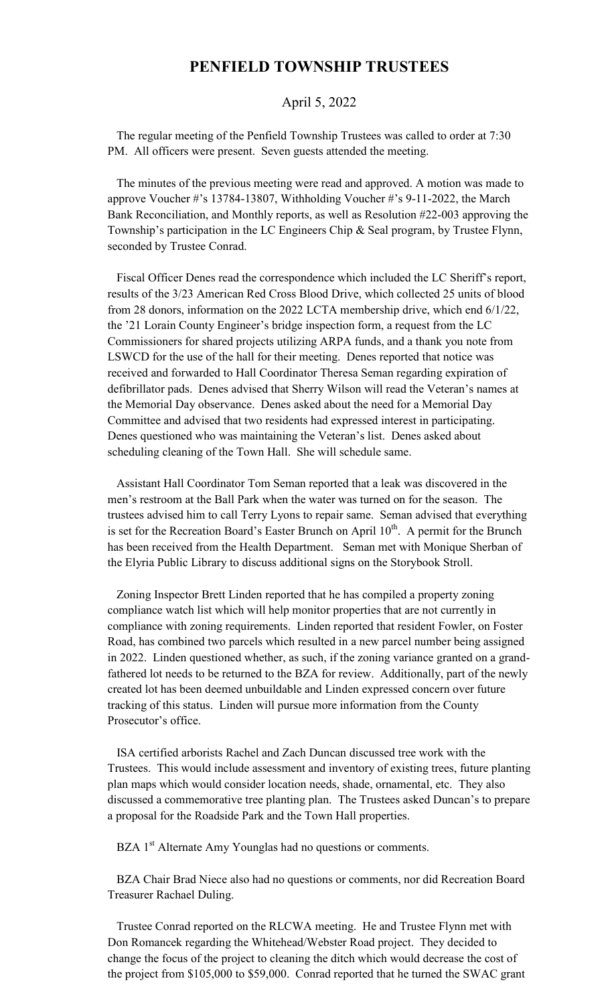## **PENFIELD TOWNSHIP TRUSTEES**

## April 5, 2022

 The regular meeting of the Penfield Township Trustees was called to order at 7:30 PM. All officers were present. Seven guests attended the meeting.

 The minutes of the previous meeting were read and approved. A motion was made to approve Voucher #'s 13784-13807, Withholding Voucher #'s 9-11-2022, the March Bank Reconciliation, and Monthly reports, as well as Resolution #22-003 approving the Township's participation in the LC Engineers Chip & Seal program, by Trustee Flynn, seconded by Trustee Conrad.

 Fiscal Officer Denes read the correspondence which included the LC Sheriff's report, results of the 3/23 American Red Cross Blood Drive, which collected 25 units of blood from 28 donors, information on the 2022 LCTA membership drive, which end 6/1/22, the '21 Lorain County Engineer's bridge inspection form, a request from the LC Commissioners for shared projects utilizing ARPA funds, and a thank you note from LSWCD for the use of the hall for their meeting. Denes reported that notice was received and forwarded to Hall Coordinator Theresa Seman regarding expiration of defibrillator pads. Denes advised that Sherry Wilson will read the Veteran's names at the Memorial Day observance. Denes asked about the need for a Memorial Day Committee and advised that two residents had expressed interest in participating. Denes questioned who was maintaining the Veteran's list. Denes asked about scheduling cleaning of the Town Hall. She will schedule same.

 Assistant Hall Coordinator Tom Seman reported that a leak was discovered in the men's restroom at the Ball Park when the water was turned on for the season. The trustees advised him to call Terry Lyons to repair same. Seman advised that everything is set for the Recreation Board's Easter Brunch on April  $10<sup>th</sup>$ . A permit for the Brunch has been received from the Health Department. Seman met with Monique Sherban of the Elyria Public Library to discuss additional signs on the Storybook Stroll.

 Zoning Inspector Brett Linden reported that he has compiled a property zoning compliance watch list which will help monitor properties that are not currently in compliance with zoning requirements. Linden reported that resident Fowler, on Foster Road, has combined two parcels which resulted in a new parcel number being assigned in 2022. Linden questioned whether, as such, if the zoning variance granted on a grandfathered lot needs to be returned to the BZA for review. Additionally, part of the newly created lot has been deemed unbuildable and Linden expressed concern over future tracking of this status. Linden will pursue more information from the County Prosecutor's office.

 ISA certified arborists Rachel and Zach Duncan discussed tree work with the Trustees. This would include assessment and inventory of existing trees, future planting plan maps which would consider location needs, shade, ornamental, etc. They also discussed a commemorative tree planting plan. The Trustees asked Duncan's to prepare a proposal for the Roadside Park and the Town Hall properties.

BZA 1<sup>st</sup> Alternate Amy Younglas had no questions or comments.

 BZA Chair Brad Niece also had no questions or comments, nor did Recreation Board Treasurer Rachael Duling.

 Trustee Conrad reported on the RLCWA meeting. He and Trustee Flynn met with Don Romancek regarding the Whitehead/Webster Road project. They decided to change the focus of the project to cleaning the ditch which would decrease the cost of the project from \$105,000 to \$59,000. Conrad reported that he turned the SWAC grant